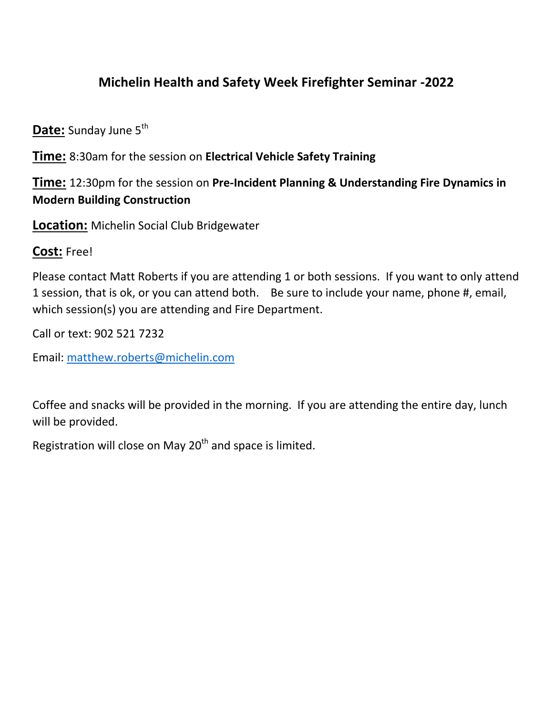## **Michelin Health and Safety Week Firefighter Seminar -2022**

**Date:** Sunday June 5<sup>th</sup>

**Time:** 8:30am for the session on **Electrical Vehicle Safety Training**

**Time:** 12:30pm for the session on **Pre-Incident Planning & Understanding Fire Dynamics in Modern Building Construction**

**Location:** Michelin Social Club Bridgewater

## **Cost:** Free!

Please contact Matt Roberts if you are attending 1 or both sessions. If you want to only attend 1 session, that is ok, or you can attend both. Be sure to include your name, phone #, email, which session(s) you are attending and Fire Department.

Call or text: 902 521 7232

Email: [matthew.roberts@michelin.com](mailto:matthew.roberts@michelin.com)

Coffee and snacks will be provided in the morning. If you are attending the entire day, lunch will be provided.

Registration will close on May  $20<sup>th</sup>$  and space is limited.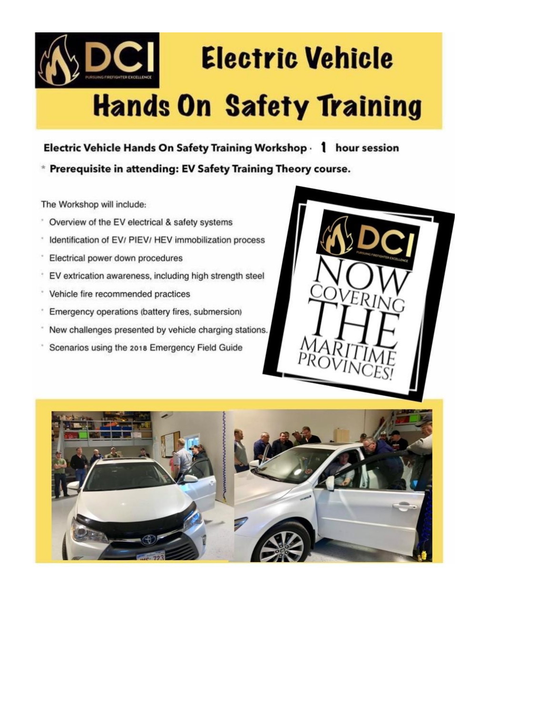

## **Hands On Safety Training**

Electric Vehicle Hands On Safety Training Workshop 1 hour session

\* Prerequisite in attending: EV Safety Training Theory course.

The Workshop will include:

- Overview of the EV electrical & safety systems  $\boldsymbol{\tau}$
- $\bar{\phantom{a}}$ Identification of EV/ PIEV/ HEV immobilization process
- $\begin{array}{c} \circ \\ \circ \end{array}$ Electrical power down procedures
- EV extrication awareness, including high strength steel ŝ
- $\epsilon$ Vehicle fire recommended practices
- $\hat{\boldsymbol{\gamma}}$ Emergency operations (battery fires, submersion)
- New challenges presented by vehicle charging stations.
- Scenarios using the 2018 Emergency Field Guide

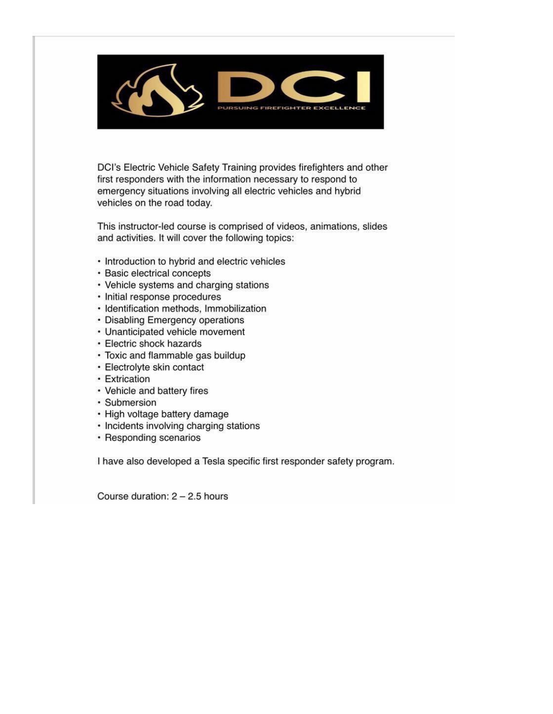

DCI's Electric Vehicle Safety Training provides firefighters and other first responders with the information necessary to respond to emergency situations involving all electric vehicles and hybrid vehicles on the road today.

This instructor-led course is comprised of videos, animations, slides and activities. It will cover the following topics:

- Introduction to hybrid and electric vehicles
- · Basic electrical concepts
- Vehicle systems and charging stations
- · Initial response procedures
- · Identification methods, Immobilization
- Disabling Emergency operations
- Unanticipated vehicle movement
- Electric shock hazards
- Toxic and flammable gas buildup
- · Electrolyte skin contact
- Extrication
- Vehicle and battery fires
- · Submersion
- · High voltage battery damage
- Incidents involving charging stations
- Responding scenarios

I have also developed a Tesla specific first responder safety program.

Course duration:  $2 - 2.5$  hours